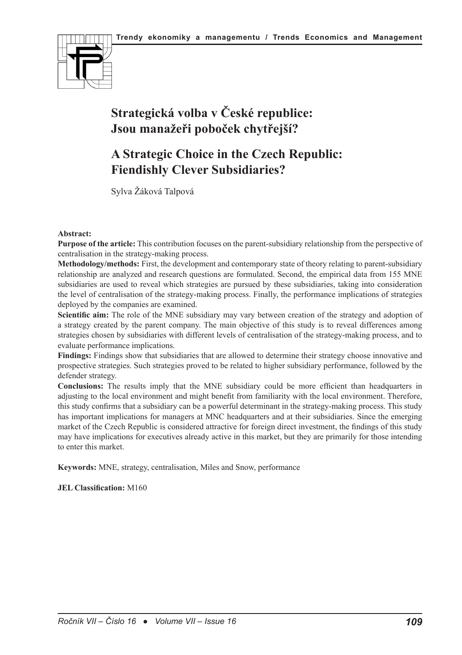

# **Strategická volba v České republice: Jsou manažeři poboček chytřejší?**

## **A Strategic Choice in the Czech Republic: Fiendishly Clever Subsidiaries?**

Sylva Žáková Talpová

## **Abstract:**

**Purpose of the article:** This contribution focuses on the parent-subsidiary relationship from the perspective of centralisation in the strategy-making process.

**Methodology/methods:** First, the development and contemporary state of theory relating to parent-subsidiary relationship are analyzed and research questions are formulated. Second, the empirical data from 155 MNE subsidiaries are used to reveal which strategies are pursued by these subsidiaries, taking into consideration the level of centralisation of the strategy-making process. Finally, the performance implications of strategies deployed by the companies are examined.

**Scientific aim:** The role of the MNE subsidiary may vary between creation of the strategy and adoption of a strategy created by the parent company. The main objective of this study is to reveal differences among strategies chosen by subsidiaries with different levels of centralisation of the strategy-making process, and to evaluate performance implications.

**Findings:** Findings show that subsidiaries that are allowed to determine their strategy choose innovative and prospective strategies. Such strategies proved to be related to higher subsidiary performance, followed by the defender strategy.

**Conclusions:** The results imply that the MNE subsidiary could be more efficient than headquarters in adjusting to the local environment and might benefit from familiarity with the local environment. Therefore, this study confirms that a subsidiary can be a powerful determinant in the strategy-making process. This study has important implications for managers at MNC headquarters and at their subsidiaries. Since the emerging market of the Czech Republic is considered attractive for foreign direct investment, the findings of this study may have implications for executives already active in this market, but they are primarily for those intending to enter this market.

**Keywords:** MNE, strategy, centralisation, Miles and Snow, performance

## **JEL Classification:** M160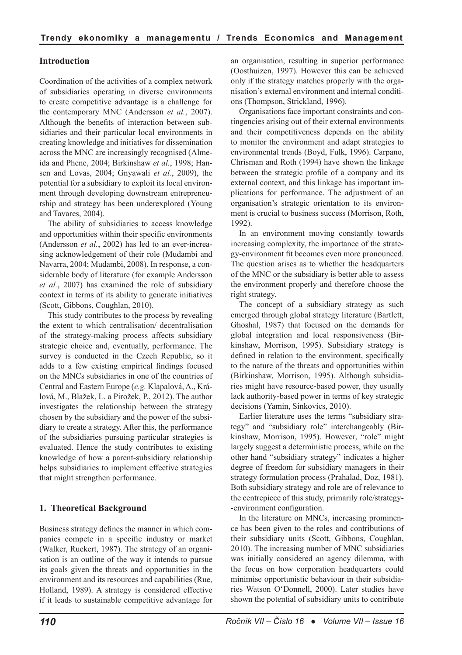## **Introduction**

Coordination of the activities of a complex network of subsidiaries operating in diverse environments to create competitive advantage is a challenge for the contemporary MNC (Andersson *et al.*, 2007). Although the benefits of interaction between subsidiaries and their particular local environments in creating knowledge and initiatives for dissemination across the MNC are increasingly recognised (Almeida and Phene, 2004; Birkinshaw *et al.*, 1998; Hansen and Lovas, 2004; Gnyawali *et al.*, 2009), the potential for a subsidiary to exploit its local environment through developing downstream entrepreneurship and strategy has been underexplored (Young and Tavares, 2004).

The ability of subsidiaries to access knowledge and opportunities within their specific environments (Andersson *et al.*, 2002) has led to an ever-increasing acknowledgement of their role (Mudambi and Navarra, 2004; Mudambi, 2008). In response, a considerable body of literature (for example Andersson *et al.*, 2007) has examined the role of subsidiary context in terms of its ability to generate initiatives (Scott, Gibbons, Coughlan, 2010).

This study contributes to the process by revealing the extent to which centralisation/ decentralisation of the strategy-making process affects subsidiary strategic choice and, eventually, performance. The survey is conducted in the Czech Republic, so it adds to a few existing empirical findings focused on the MNCs subsidiaries in one of the countries of Central and Eastern Europe (*e.g.* Klapalová, A., Králová, M., Blažek, L. a Pirožek, P., 2012). The author investigates the relationship between the strategy chosen by the subsidiary and the power of the subsidiary to create a strategy. After this, the performance of the subsidiaries pursuing particular strategies is evaluated. Hence the study contributes to existing knowledge of how a parent-subsidiary relationship helps subsidiaries to implement effective strategies that might strengthen performance.

## **1. Theoretical Background**

Business strategy defines the manner in which companies compete in a specific industry or market (Walker, Ruekert, 1987). The strategy of an organisation is an outline of the way it intends to pursue its goals given the threats and opportunities in the environment and its resources and capabilities (Rue, Holland, 1989). A strategy is considered effective if it leads to sustainable competitive advantage for an organisation, resulting in superior performance (Oosthuizen, 1997). However this can be achieved only if the strategy matches properly with the organisation's external environment and internal conditions (Thompson, Strickland, 1996).

Organisations face important constraints and contingencies arising out of their external environments and their competitiveness depends on the ability to monitor the environment and adapt strategies to environmental trends (Boyd, Fulk, 1996). Carpano, Chrisman and Roth (1994) have shown the linkage between the strategic profile of a company and its external context, and this linkage has important implications for performance. The adjustment of an organisation's strategic orientation to its environment is crucial to business success (Morrison, Roth, 1992).

In an environment moving constantly towards increasing complexity, the importance of the strategy-environment fit becomes even more pronounced. The question arises as to whether the headquarters of the MNC or the subsidiary is better able to assess the environment properly and therefore choose the right strategy.

The concept of a subsidiary strategy as such emerged through global strategy literature (Bartlett, Ghoshal, 1987) that focused on the demands for global integration and local responsiveness (Birkinshaw, Morrison, 1995). Subsidiary strategy is defined in relation to the environment, specifically to the nature of the threats and opportunities within (Birkinshaw, Morrison, 1995). Although subsidiaries might have resource-based power, they usually lack authority-based power in terms of key strategic decisions (Yamin, Sinkovics, 2010).

Earlier literature uses the terms "subsidiary strategy" and "subsidiary role" interchangeably (Birkinshaw, Morrison, 1995). However, "role" might largely suggest a deterministic process, while on the other hand "subsidiary strategy" indicates a higher degree of freedom for subsidiary managers in their strategy formulation process (Prahalad, Doz, 1981). Both subsidiary strategy and role are of relevance to the centrepiece of this study, primarily role/strategy- -environment configuration.

In the literature on MNCs, increasing prominence has been given to the roles and contributions of their subsidiary units (Scott, Gibbons, Coughlan, 2010). The increasing number of MNC subsidiaries was initially considered an agency dilemma, with the focus on how corporation headquarters could minimise opportunistic behaviour in their subsidiaries Watson O'Donnell, 2000). Later studies have shown the potential of subsidiary units to contribute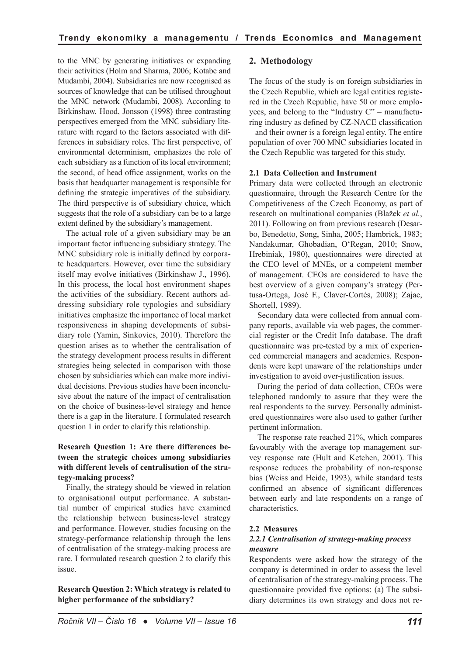to the MNC by generating initiatives or expanding their activities (Holm and Sharma, 2006; Kotabe and Mudambi, 2004). Subsidiaries are now recognised as sources of knowledge that can be utilised throughout the MNC network (Mudambi, 2008). According to Birkinshaw, Hood, Jonsson (1998) three contrasting perspectives emerged from the MNC subsidiary literature with regard to the factors associated with differences in subsidiary roles. The first perspective, of environmental determinism, emphasizes the role of each subsidiary as a function of its local environment; the second, of head office assignment, works on the basis that headquarter management is responsible for defining the strategic imperatives of the subsidiary. The third perspective is of subsidiary choice, which suggests that the role of a subsidiary can be to a large extent defined by the subsidiary's management.

The actual role of a given subsidiary may be an important factor influencing subsidiary strategy. The MNC subsidiary role is initially defined by corporate headquarters. However, over time the subsidiary itself may evolve initiatives (Birkinshaw J., 1996). In this process, the local host environment shapes the activities of the subsidiary. Recent authors addressing subsidiary role typologies and subsidiary initiatives emphasize the importance of local market responsiveness in shaping developments of subsidiary role (Yamin, Sinkovics, 2010). Therefore the question arises as to whether the centralisation of the strategy development process results in different strategies being selected in comparison with those chosen by subsidiaries which can make more individual decisions. Previous studies have been inconclusive about the nature of the impact of centralisation on the choice of business-level strategy and hence there is a gap in the literature. I formulated research question 1 in order to clarify this relationship.

## **Research Question 1: Are there differences between the strategic choices among subsidiaries with different levels of centralisation of the strategy-making process?**

Finally, the strategy should be viewed in relation to organisational output performance. A substantial number of empirical studies have examined the relationship between business-level strategy and performance. However, studies focusing on the strategy-performance relationship through the lens of centralisation of the strategy-making process are rare. I formulated research question 2 to clarify this issue.

**Research Question 2: Which strategy is related to higher performance of the subsidiary?**

## **2. Methodology**

The focus of the study is on foreign subsidiaries in the Czech Republic, which are legal entities registered in the Czech Republic, have 50 or more employees, and belong to the "Industry C" – manufacturing industry as defined by CZ-NACE classification – and their owner is a foreign legal entity. The entire population of over 700 MNC subsidiaries located in the Czech Republic was targeted for this study.

#### **2.1 Data Collection and Instrument**

Primary data were collected through an electronic questionnaire, through the Research Centre for the Competitiveness of the Czech Economy, as part of research on multinational companies (Blažek *et al.*, 2011). Following on from previous research (Desarbo, Benedetto, Song, Sinha, 2005; Hambrick, 1983; Nandakumar, Ghobadian, O'Regan, 2010; Snow, Hrebiniak, 1980), questionnaires were directed at the CEO level of MNEs, or a competent member of management. CEOs are considered to have the best overview of a given company's strategy (Pertusa-Ortega, José F., Claver-Cortés, 2008); Zajac, Shortell, 1989).

Secondary data were collected from annual company reports, available via web pages, the commercial register or the Credit Info database. The draft questionnaire was pre-tested by a mix of experienced commercial managers and academics. Respondents were kept unaware of the relationships under investigation to avoid over-justification issues.

During the period of data collection, CEOs were telephoned randomly to assure that they were the real respondents to the survey. Personally administered questionnaires were also used to gather further pertinent information.

The response rate reached 21%, which compares favourably with the average top management survey response rate (Hult and Ketchen, 2001). This response reduces the probability of non-response bias (Weiss and Heide, 1993), while standard tests confirmed an absence of significant differences between early and late respondents on a range of characteristics.

#### **2.2 Measures**

#### *2.2.1 Centralisation of strategy-making process measure*

Respondents were asked how the strategy of the company is determined in order to assess the level of centralisation of the strategy-making process. The questionnaire provided five options: (a) The subsidiary determines its own strategy and does not re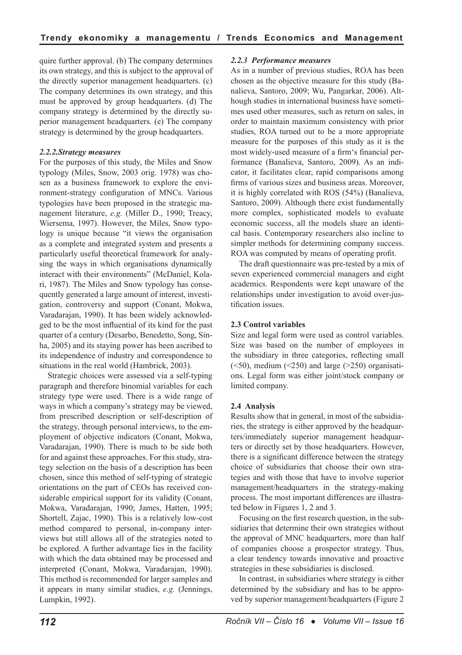quire further approval. (b) The company determines its own strategy, and this is subject to the approval of the directly superior management headquarters. (c) The company determines its own strategy, and this must be approved by group headquarters. (d) The company strategy is determined by the directly superior management headquarters. (e) The company strategy is determined by the group headquarters.

## *2.2.2.Strategy measures*

For the purposes of this study, the Miles and Snow typology (Miles, Snow, 2003 orig. 1978) was chosen as a business framework to explore the environment-strategy configuration of MNCs. Various typologies have been proposed in the strategic management literature, *e.g.* (Miller D., 1990; Treacy, Wiersema, 1997). However, the Miles, Snow typology is unique because "it views the organisation as a complete and integrated system and presents a particularly useful theoretical framework for analysing the ways in which organisations dynamically interact with their environments" (McDaniel, Kolari, 1987). The Miles and Snow typology has consequently generated a large amount of interest, investigation, controversy and support (Conant, Mokwa, Varadarajan, 1990). It has been widely acknowledged to be the most influential of its kind for the past quarter of a century (Desarbo, Benedetto, Song, Sinha, 2005) and its staying power has been ascribed to its independence of industry and correspondence to situations in the real world (Hambrick, 2003).

Strategic choices were assessed via a self-typing paragraph and therefore binomial variables for each strategy type were used. There is a wide range of ways in which a company's strategy may be viewed, from prescribed description or self-description of the strategy, through personal interviews, to the employment of objective indicators (Conant, Mokwa, Varadarajan, 1990). There is much to be side both for and against these approaches. For this study, strategy selection on the basis of a description has been chosen, since this method of self-typing of strategic orientations on the part of CEOs has received considerable empirical support for its validity (Conant, Mokwa, Varadarajan, 1990; James, Hatten, 1995; Shortell, Zajac, 1990). This is a relatively low-cost method compared to personal, in-company interviews but still allows all of the strategies noted to be explored. A further advantage lies in the facility with which the data obtained may be processed and interpreted (Conant, Mokwa, Varadarajan, 1990). This method is recommended for larger samples and it appears in many similar studies, *e.g.* (Jennings, Lumpkin, 1992).

#### *2.2.3 Performance measures*

As in a number of previous studies, ROA has been chosen as the objective measure for this study (Banalieva, Santoro, 2009; Wu, Pangarkar, 2006). Although studies in international business have sometimes used other measures, such as return on sales, in order to maintain maximum consistency with prior studies, ROA turned out to be a more appropriate measure for the purposes of this study as it is the most widely-used measure of a firm's financial performance (Banalieva, Santoro, 2009). As an indicator, it facilitates clear, rapid comparisons among firms of various sizes and business areas. Moreover, it is highly correlated with ROS (54%) (Banalieva, Santoro, 2009). Although there exist fundamentally more complex, sophisticated models to evaluate economic success, all the models share an identical basis. Contemporary researchers also incline to simpler methods for determining company success. ROA was computed by means of operating profit.

The draft questionnaire was pre-tested by a mix of seven experienced commercial managers and eight academics. Respondents were kept unaware of the relationships under investigation to avoid over-justification issues.

## **2.3 Control variables**

Size and legal form were used as control variables. Size was based on the number of employees in the subsidiary in three categories, reflecting small  $(\leq 50)$ , medium  $(\leq 250)$  and large  $(\geq 250)$  organisations. Legal form was either joint/stock company or limited company.

#### **2.4 Analysis**

Results show that in general, in most of the subsidiaries, the strategy is either approved by the headquarters/immediately superior management headquarters or directly set by those headquarters. However, there is a significant difference between the strategy choice of subsidiaries that choose their own strategies and with those that have to involve superior management/headquarters in the strategy-making process. The most important differences are illustrated below in Figures 1, 2 and 3.

Focusing on the first research question, in the subsidiaries that determine their own strategies without the approval of MNC headquarters, more than half of companies choose a prospector strategy. Thus, a clear tendency towards innovative and proactive strategies in these subsidiaries is disclosed.

In contrast, in subsidiaries where strategy is either determined by the subsidiary and has to be approved by superior management/headquarters (Figure 2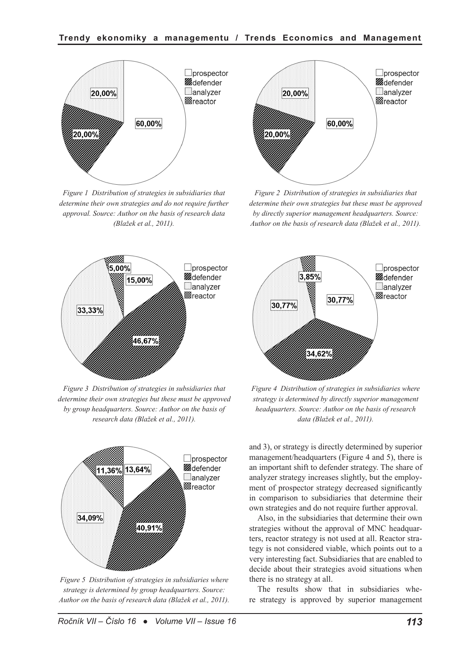

*Figure 1 Distribution of strategies in subsidiaries that determine their own strategies and do not require further approval. Source: Author on the basis of research data (Blažek et al., 2011).*



*Figure 3 Distribution of strategies in subsidiaries that determine their own strategies but these must be approved by group headquarters. Source: Author on the basis of research data (Blažek et al., 2011).*



*Figure 5 Distribution of strategies in subsidiaries where strategy is determined by group headquarters. Source: Author on the basis of research data (Blažek et al., 2011).*



*Figure 2 Distribution of strategies in subsidiaries that determine their own strategies but these must be approved by directly superior management headquarters. Source: Author on the basis of research data (Blažek et al., 2011).*



*Figure 4 Distribution of strategies in subsidiaries where strategy is determined by directly superior management headquarters. Source: Author on the basis of research data (Blažek et al., 2011).*

and 3), or strategy is directly determined by superior management/headquarters (Figure 4 and 5), there is an important shift to defender strategy. The share of analyzer strategy increases slightly, but the employment of prospector strategy decreased significantly in comparison to subsidiaries that determine their own strategies and do not require further approval.

Also, in the subsidiaries that determine their own strategies without the approval of MNC headquarters, reactor strategy is not used at all. Reactor strategy is not considered viable, which points out to a very interesting fact. Subsidiaries that are enabled to decide about their strategies avoid situations when there is no strategy at all.

The results show that in subsidiaries where strategy is approved by superior management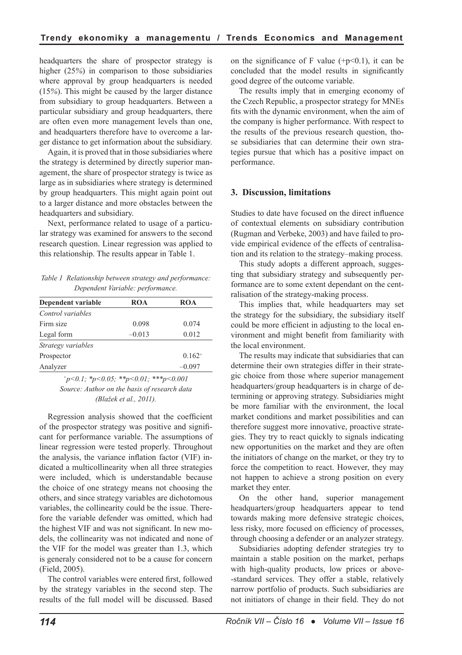headquarters the share of prospector strategy is higher (25*%*) in comparison to those subsidiaries where approval by group headquarters is needed (15*%*). This might be caused by the larger distance from subsidiary to group headquarters. Between a particular subsidiary and group headquarters, there are often even more management levels than one, and headquarters therefore have to overcome a larger distance to get information about the subsidiary.

Again, it is proved that in those subsidiaries where the strategy is determined by directly superior management, the share of prospector strategy is twice as large as in subsidiaries where strategy is determined by group headquarters. This might again point out to a larger distance and more obstacles between the headquarters and subsidiary.

Next, performance related to usage of a particular strategy was examined for answers to the second research question. Linear regression was applied to this relationship. The results appear in Table 1.

*Table 1 Relationship between strategy and performance: Dependent Variable: performance.*

| Dependent variable | <b>ROA</b> | <b>ROA</b>  |
|--------------------|------------|-------------|
| Control variables  |            |             |
| Firm size          | 0.098      | 0.074       |
| Legal form         | $-0.013$   | 0.012       |
| Strategy variables |            |             |
| Prospector         |            | $0.162^{+}$ |
| Analyzer           |            | $-0.097$    |

*<sup>+</sup>p<0.1; \*p<0.05; \*\*p<0.01; \*\*\*p<0.001 Source: Author on the basis of research data (Blažek et al., 2011).*

Regression analysis showed that the coefficient of the prospector strategy was positive and significant for performance variable. The assumptions of linear regression were tested properly. Throughout the analysis, the variance inflation factor (VIF) indicated a multicollinearity when all three strategies were included, which is understandable because the choice of one strategy means not choosing the others, and since strategy variables are dichotomous variables, the collinearity could be the issue. Therefore the variable defender was omitted, which had the highest VIF and was not significant. In new models, the collinearity was not indicated and none of the VIF for the model was greater than 1.3, which is generaly considered not to be a cause for concern (Field, 2005).

The control variables were entered first, followed by the strategy variables in the second step. The results of the full model will be discussed. Based on the significance of F value  $(+p<0.1)$ , it can be concluded that the model results in significantly good degree of the outcome variable.

The results imply that in emerging economy of the Czech Republic, a prospector strategy for MNEs fits with the dynamic environment, when the aim of the company is higher performance. With respect to the results of the previous research question, those subsidiaries that can determine their own strategies pursue that which has a positive impact on performance.

## **3. Discussion, limitations**

Studies to date have focused on the direct influence of contextual elements on subsidiary contribution (Rugman and Verbeke, 2003) and have failed to provide empirical evidence of the effects of centralisation and its relation to the strategy–making process.

This study adopts a different approach, suggesting that subsidiary strategy and subsequently performance are to some extent dependant on the centralisation of the strategy-making process.

This implies that, while headquarters may set the strategy for the subsidiary, the subsidiary itself could be more efficient in adjusting to the local environment and might benefit from familiarity with the local environment.

The results may indicate that subsidiaries that can determine their own strategies differ in their strategic choice from those where superior management headquarters/group headquarters is in charge of determining or approving strategy. Subsidiaries might be more familiar with the environment, the local market conditions and market possibilities and can therefore suggest more innovative, proactive strategies. They try to react quickly to signals indicating new opportunities on the market and they are often the initiators of change on the market, or they try to force the competition to react. However, they may not happen to achieve a strong position on every market they enter.

On the other hand, superior management headquarters/group headquarters appear to tend towards making more defensive strategic choices, less risky, more focused on efficiency of processes, through choosing a defender or an analyzer strategy.

Subsidiaries adopting defender strategies try to maintain a stable position on the market, perhaps with high-quality products, low prices or above- -standard services. They offer a stable, relatively narrow portfolio of products. Such subsidiaries are not initiators of change in their field. They do not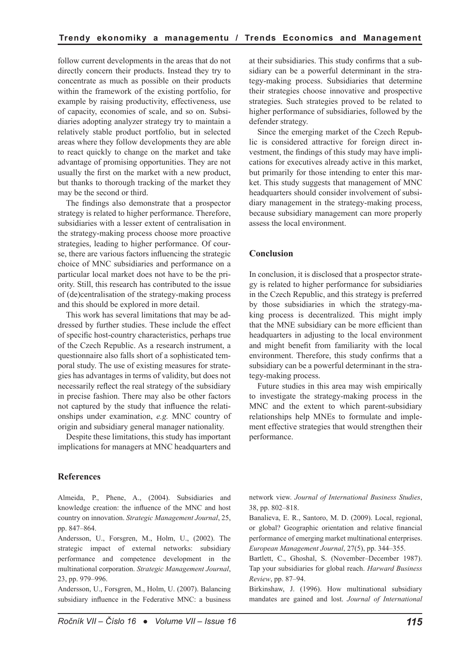follow current developments in the areas that do not directly concern their products. Instead they try to concentrate as much as possible on their products within the framework of the existing portfolio, for example by raising productivity, effectiveness, use of capacity, economies of scale, and so on. Subsidiaries adopting analyzer strategy try to maintain a relatively stable product portfolio, but in selected areas where they follow developments they are able to react quickly to change on the market and take advantage of promising opportunities. They are not usually the first on the market with a new product, but thanks to thorough tracking of the market they may be the second or third.

The findings also demonstrate that a prospector strategy is related to higher performance. Therefore, subsidiaries with a lesser extent of centralisation in the strategy-making process choose more proactive strategies, leading to higher performance. Of course, there are various factors influencing the strategic choice of MNC subsidiaries and performance on a particular local market does not have to be the priority. Still, this research has contributed to the issue of (de)centralisation of the strategy-making process and this should be explored in more detail.

This work has several limitations that may be addressed by further studies. These include the effect of specific host-country characteristics, perhaps true of the Czech Republic. As a research instrument, a questionnaire also falls short of a sophisticated temporal study. The use of existing measures for strategies has advantages in terms of validity, but does not necessarily reflect the real strategy of the subsidiary in precise fashion. There may also be other factors not captured by the study that influence the relationships under examination, *e.g.* MNC country of origin and subsidiary general manager nationality.

Despite these limitations, this study has important implications for managers at MNC headquarters and at their subsidiaries. This study confirms that a subsidiary can be a powerful determinant in the strategy-making process. Subsidiaries that determine their strategies choose innovative and prospective strategies. Such strategies proved to be related to higher performance of subsidiaries, followed by the defender strategy.

Since the emerging market of the Czech Republic is considered attractive for foreign direct investment, the findings of this study may have implications for executives already active in this market, but primarily for those intending to enter this market. This study suggests that management of MNC headquarters should consider involvement of subsidiary management in the strategy-making process, because subsidiary management can more properly assess the local environment.

#### **Conclusion**

In conclusion, it is disclosed that a prospector strategy is related to higher performance for subsidiaries in the Czech Republic, and this strategy is preferred by those subsidiaries in which the strategy-making process is decentralized. This might imply that the MNE subsidiary can be more efficient than headquarters in adjusting to the local environment and might benefit from familiarity with the local environment. Therefore, this study confirms that a subsidiary can be a powerful determinant in the strategy-making process.

Future studies in this area may wish empirically to investigate the strategy-making process in the MNC and the extent to which parent-subsidiary relationships help MNEs to formulate and implement effective strategies that would strengthen their performance.

## **References**

Almeida, P., Phene, A., (2004). Subsidiaries and knowledge creation: the influence of the MNC and host country on innovation. *Strategic Management Journal*, 25, pp. 847–864.

Andersson, U., Forsgren, M., Holm, U., (2002). The strategic impact of external networks: subsidiary performance and competence development in the multinational corporation. *Strategic Management Journal*, 23, pp. 979–996.

Andersson, U., Forsgren, M., Holm, U. (2007). Balancing subsidiary influence in the Federative MNC: a business network view. *Journal of International Business Studies*, 38, pp. 802–818.

Banalieva, E. R., Santoro, M. D. (2009). Local, regional, or global? Geographic orientation and relative financial performance of emerging market multinational enterprises. *European Management Journal*, 27(5), pp. 344–355.

Bartlett, C., Ghoshal, S. (November–December 1987). Tap your subsidiaries for global reach. *Harward Business Review*, pp. 87–94.

Birkinshaw, J. (1996). How multinational subsidiary mandates are gained and lost. *Journal of International*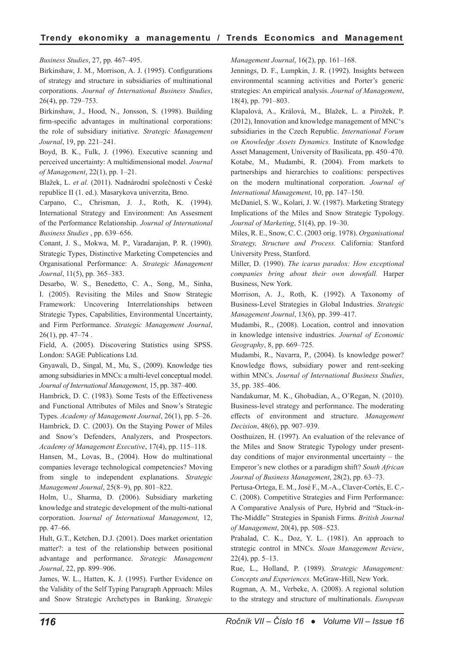*Business Studies*, 27, pp. 467–495.

Birkinshaw, J. M., Morrison, A. J. (1995). Configurations of strategy and structure in subsidiaries of multinational corporations. *Journal of International Business Studies*, 26(4), pp. 729–753.

Birkinshaw, J., Hood, N., Jonsson, S. (1998). Building firm-specific advantages in multinational corporations: the role of subsidiary initiative. *Strategic Management Journal*, 19, pp. 221–241.

Boyd, B. K., Fulk, J. (1996). Executive scanning and perceived uncertainty: A multidimensional model. *Journal of Management*, 22(1), pp. 1–21.

Blažek, L. *et al.* (2011). Nadnárodní společnosti v České republice II (1. ed.). Masarykova univerzita, Brno.

Carpano, C., Chrisman, J. J., Roth, K. (1994). International Strategy and Environment: An Assesment of the Performance Relationship. *Journal of International Business Studies* , pp. 639–656.

Conant, J. S., Mokwa, M. P., Varadarajan, P. R. (1990). Strategic Types, Distinctive Marketing Competencies and Organisational Performance: A. *Strategic Management Journal*, 11(5), pp. 365–383.

Desarbo, W. S., Benedetto, C. A., Song, M., Sinha, I. (2005). Revisiting the Miles and Snow Strategic Framework: Uncovering Interrelationships between Strategic Types, Capabilities, Environmental Uncertainty, and Firm Performance. *Strategic Management Journal*,  $26(1)$ , pp.  $47-74$ .

Field, A. (2005). Discovering Statistics using SPSS. London: SAGE Publications Ltd.

Gnyawali, D., Singal, M., Mu, S., (2009). Knowledge ties among subsidiaries in MNCs: a multi-level conceptual model. *Journal of International Management*, 15, pp. 387–400.

Hambrick, D. C. (1983). Some Tests of the Effectiveness and Functional Attributes of Miles and Snow's Strategic Types. *Academy of Management Journal*, 26(1), pp. 5–26. Hambrick, D. C. (2003). On the Staying Power of Miles and Snow's Defenders, Analyzers, and Prospectors. *Academy of Management Executive*, 17(4), pp. 115–118.

Hansen, M., Lovas, B., (2004). How do multinational companies leverage technological competencies? Moving from single to independent explanations. *Strategic Management Journal*, 25(8–9), pp. 801–822.

Holm, U., Sharma, D. (2006). Subsidiary marketing knowledge and strategic development of the multi-national corporation. J*ournal of International Management*, 12, pp. 47–66.

Hult, G.T., Ketchen, D.J. (2001). Does market orientation matter?: a test of the relationship between positional advantage and performance. *Strategic Management Journal*, 22, pp. 899–906.

James, W. L., Hatten, K. J. (1995). Further Evidence on the Validity of the Self Typing Paragraph Approach: Miles and Snow Strategic Archetypes in Banking. *Strategic*  *Management Journal*, 16(2), pp. 161–168.

Jennings, D. F., Lumpkin, J. R. (1992). Insights between environmental scanning activities and Porter's generic strategies: An empirical analysis. *Journal of Management*, 18(4), pp. 791–803.

Klapalová, A., Králová, M., Blažek, L. a Pirožek, P. (2012), Innovation and knowledge management of MNC's subsidiaries in the Czech Republic. *International Forum on Knowledge Assets Dynamics.* Institute of Knowledge Asset Management, University of Basilicata, pp. 450–470. Kotabe, M., Mudambi, R. (2004). From markets to partnerships and hierarchies to coalitions: perspectives on the modern multinational corporation. *Journal of International Management*, 10, pp. 147–150.

McDaniel, S. W., Kolari, J. W. (1987). Marketing Strategy Implications of the Miles and Snow Strategic Typology. *Journal of Marketing*, 51(4), pp. 19–30.

Miles, R. E., Snow, C. C. (2003 orig. 1978). *Organisational Strategy, Structure and Process.* California: Stanford University Press, Stanford.

Miller, D. (1990). *The icarus paradox: How exceptional companies bring about their own downfall.* Harper Business, New York.

Morrison, A. J., Roth, K. (1992). A Taxonomy of Business-Level Strategies in Global Industries. *Strategic Management Journal*, 13(6), pp. 399–417.

Mudambi, R., (2008). Location, control and innovation in knowledge intensive industries. *Journal of Economic Geography*, 8, pp. 669–725.

Mudambi, R., Navarra, P., (2004). Is knowledge power? Knowledge flows, subsidiary power and rent-seeking within MNCs. *Journal of International Business Studies*, 35, pp. 385–406.

Nandakumar, M. K., Ghobadian, A., O'Regan, N. (2010). Business-level strategy and performance. The moderating effects of environment and structure. *Management Decision*, 48(6), pp. 907–939.

Oosthuizen, H. (1997). An evaluation of the relevance of the Miles and Snow Strategic Typology under presentday conditions of major environmental uncertainty – the Emperor's new clothes or a paradigm shift? *South African Journal of Business Management*, 28(2), pp. 63–73.

Pertusa-Ortega, E. M., José F., M.-A., Claver-Cortés, E. C.- C. (2008). Competitive Strategies and Firm Performance: A Comparative Analysis of Pure, Hybrid and "Stuck-in-The-Middle" Strategies in Spanish Firms. *British Journal of Management*, 20(4), pp. 508–523.

Prahalad, C. K., Doz, Y. L. (1981). An approach to strategic control in MNCs. *Sloan Management Review*, 22(4), pp. 5–13.

Rue, L., Holland, P. (1989). *Strategic Management: Concepts and Experiences.* McGraw-Hill, New York.

Rugman, A. M., Verbeke, A. (2008). A regional solution to the strategy and structure of multinationals. *European*